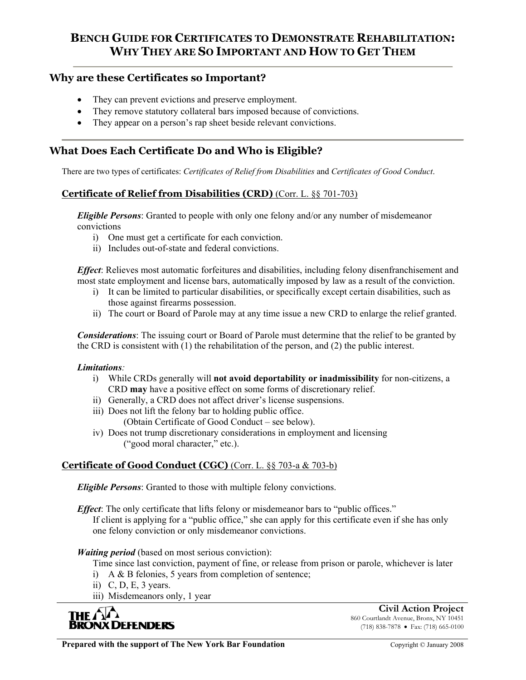## **Why are these Certificates so Important?**

- They can prevent evictions and preserve employment.
- They remove statutory collateral bars imposed because of convictions.
- They appear on a person's rap sheet beside relevant convictions.

# **What Does Each Certificate Do and Who is Eligible?**

There are two types of certificates: *Certificates of Relief from Disabilities* and *Certificates of Good Conduct*.

## **Certificate of Relief from Disabilities (CRD)** (Corr. L. §§ 701-703)

*Eligible Persons*: Granted to people with only one felony and/or any number of misdemeanor convictions

- i) One must get a certificate for each conviction.
- ii) Includes out-of-state and federal convictions.

*Effect*: Relieves most automatic forfeitures and disabilities, including felony disenfranchisement and most state employment and license bars, automatically imposed by law as a result of the conviction.

- i) It can be limited to particular disabilities, or specifically except certain disabilities, such as those against firearms possession.
- ii) The court or Board of Parole may at any time issue a new CRD to enlarge the relief granted.

*Considerations*: The issuing court or Board of Parole must determine that the relief to be granted by the CRD is consistent with (1) the rehabilitation of the person, and (2) the public interest.

## *Limitations:*

- i) While CRDs generally will **not avoid deportability or inadmissibility** for non-citizens, a CRD **may** have a positive effect on some forms of discretionary relief.
- ii) Generally, a CRD does not affect driver's license suspensions.
- iii) Does not lift the felony bar to holding public office.

(Obtain Certificate of Good Conduct – see below).

iv) Does not trump discretionary considerations in employment and licensing ("good moral character," etc.).

## **Certificate of Good Conduct (CGC)** (Corr. L. §§ 703-a & 703-b)

*Eligible Persons*: Granted to those with multiple felony convictions.

*Effect*: The only certificate that lifts felony or misdemeanor bars to "public offices."

If client is applying for a "public office," she can apply for this certificate even if she has only one felony conviction or only misdemeanor convictions.

## *Waiting period* (based on most serious conviction):

- Time since last conviction, payment of fine, or release from prison or parole, whichever is later
- i) A & B felonies, 5 years from completion of sentence;
- ii) C, D, E, 3 years.
- iii) Misdemeanors only, 1 year



**Civil Action Project** 860 Courtlandt Avenue, Bronx, NY 10451 (718) 838-7878 • Fax: (718) 665-0100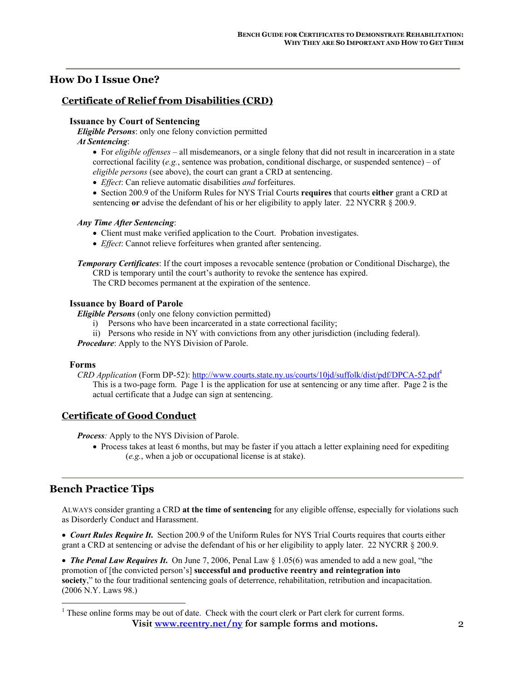## **How Do I Issue One?**

## **Certificate of Relief from Disabilities (CRD)**

#### **Issuance by Court of Sentencing**

*Eligible Persons*: only one felony conviction permitted *At Sentencing*:

• For *eligible offenses* – all misdemeanors, or a single felony that did not result in incarceration in a state correctional facility (*e.g.*, sentence was probation, conditional discharge, or suspended sentence) – of *eligible persons* (see above), the court can grant a CRD at sentencing.

• *Effect*: Can relieve automatic disabilities *and* forfeitures.

• Section 200.9 of the Uniform Rules for NYS Trial Courts **requires** that courts **either** grant a CRD at sentencing **or** advise the defendant of his or her eligibility to apply later. 22 NYCRR § 200.9.

#### *Any Time After Sentencing*:

- Client must make verified application to the Court. Probation investigates.
- *Effect*: Cannot relieve forfeitures when granted after sentencing.

*Temporary Certificates*: If the court imposes a revocable sentence (probation or Conditional Discharge), the CRD is temporary until the court's authority to revoke the sentence has expired. The CRD becomes permanent at the expiration of the sentence.

#### **Issuance by Board of Parole**

*Eligible Persons* (only one felony conviction permitted)

- i) Persons who have been incarcerated in a state correctional facility;
- ii) Persons who reside in NY with convictions from any other jurisdiction (including federal).

*Procedure*: Apply to the NYS Division of Parole.

#### **Forms**

*CRD Application* (Form DP-52): http://www.courts.state.ny.us/courts/10jd/suffolk/dist/pdf/DPCA-52.pdf<sup>1</sup> This is a two-page form. Page 1 is the application for use at sentencing or any time after. Page 2 is the actual certificate that a Judge can sign at sentencing.

## **Certificate of Good Conduct**

*Process:* Apply to the NYS Division of Parole.

• Process takes at least 6 months, but may be faster if you attach a letter explaining need for expediting (*e.g.*, when a job or occupational license is at stake).

## **Bench Practice Tips**

 $\overline{a}$ 

ALWAYS consider granting a CRD **at the time of sentencing** for any eligible offense, especially for violations such as Disorderly Conduct and Harassment.

• *Court Rules Require It***.** Section 200.9 of the Uniform Rules for NYS Trial Courts requires that courts either grant a CRD at sentencing or advise the defendant of his or her eligibility to apply later. 22 NYCRR § 200.9.

• *The Penal Law Requires It***.** On June 7, 2006, Penal Law § 1.05(6) was amended to add a new goal, "the promotion of [the convicted person's] **successful and productive reentry and reintegration into society**," to the four traditional sentencing goals of deterrence, rehabilitation, retribution and incapacitation. (2006 N.Y. Laws 98.)

Visit www.reentry.net/ny for sample forms and motions.  $<sup>1</sup>$  These online forms may be out of date. Check with the court clerk or Part clerk for current forms.</sup>